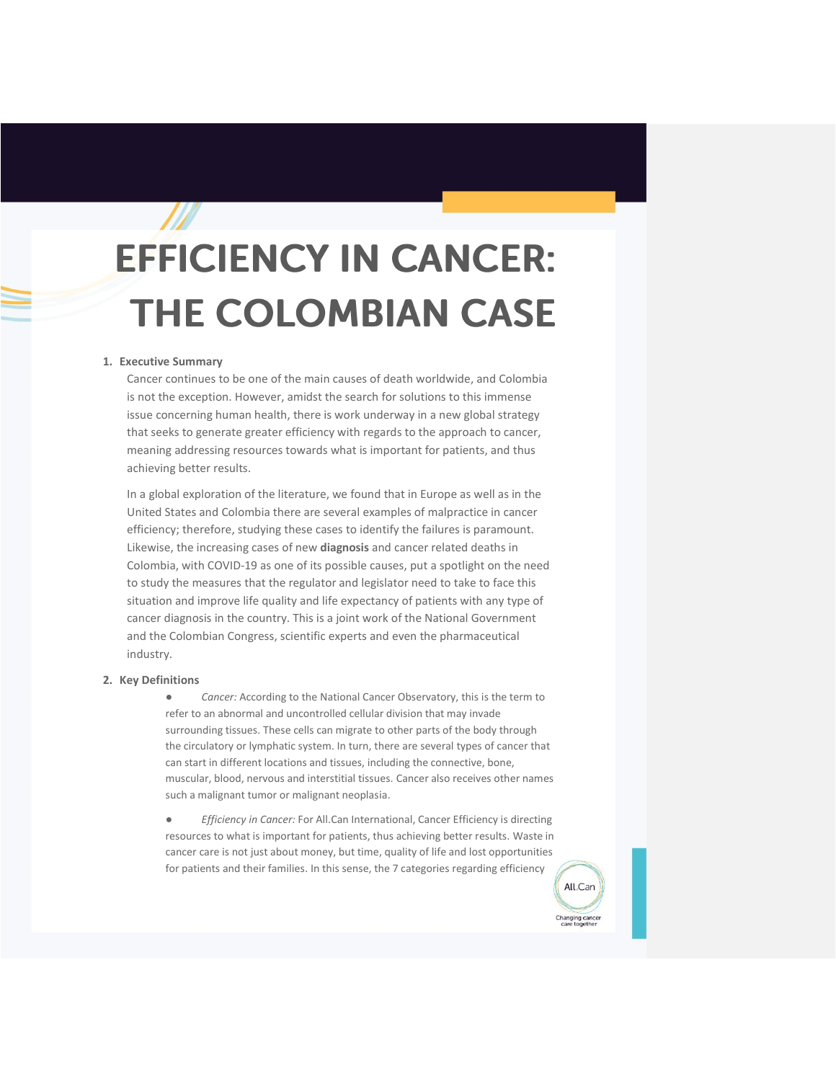# **EFFICIENCY IN CANCER: THE COLOMBIAN CASE**

# **1. Executive Summary**

Cancer continues to be one of the main causes of death worldwide, and Colombia is not the exception. However, amidst the search for solutions to this immense issue concerning human health, there is work underway in a new global strategy that seeks to generate greater efficiency with regards to the approach to cancer, meaning addressing resources towards what is important for patients, and thus achieving better results.

In a global exploration of the literature, we found that in Europe as well as in the United States and Colombia there are several examples of malpractice in cancer efficiency; therefore, studying these cases to identify the failures is paramount. Likewise, the increasing cases of new **diagnosis** and cancer related deaths in Colombia, with COVID-19 as one of its possible causes, put a spotlight on the need to study the measures that the regulator and legislator need to take to face this situation and improve life quality and life expectancy of patients with any type of cancer diagnosis in the country. This is a joint work of the National Government and the Colombian Congress, scientific experts and even the pharmaceutical industry.

#### **2. Key Definitions**

Cancer: According to the National Cancer Observatory, this is the term to refer to an abnormal and uncontrolled cellular division that may invade surrounding tissues. These cells can migrate to other parts of the body through the circulatory or lymphatic system. In turn, there are several types of cancer that can start in different locations and tissues, including the connective, bone, muscular, blood, nervous and interstitial tissues. Cancer also receives other names such a malignant tumor or malignant neoplasia.

● *Efficiency in Cancer:* For All.Can International, Cancer Efficiency is directing resources to what is important for patients, thus achieving better results. Waste in cancer care is not just about money, but time, quality of life and lost opportunities for patients and their families. In this sense, the 7 categories regarding efficiency

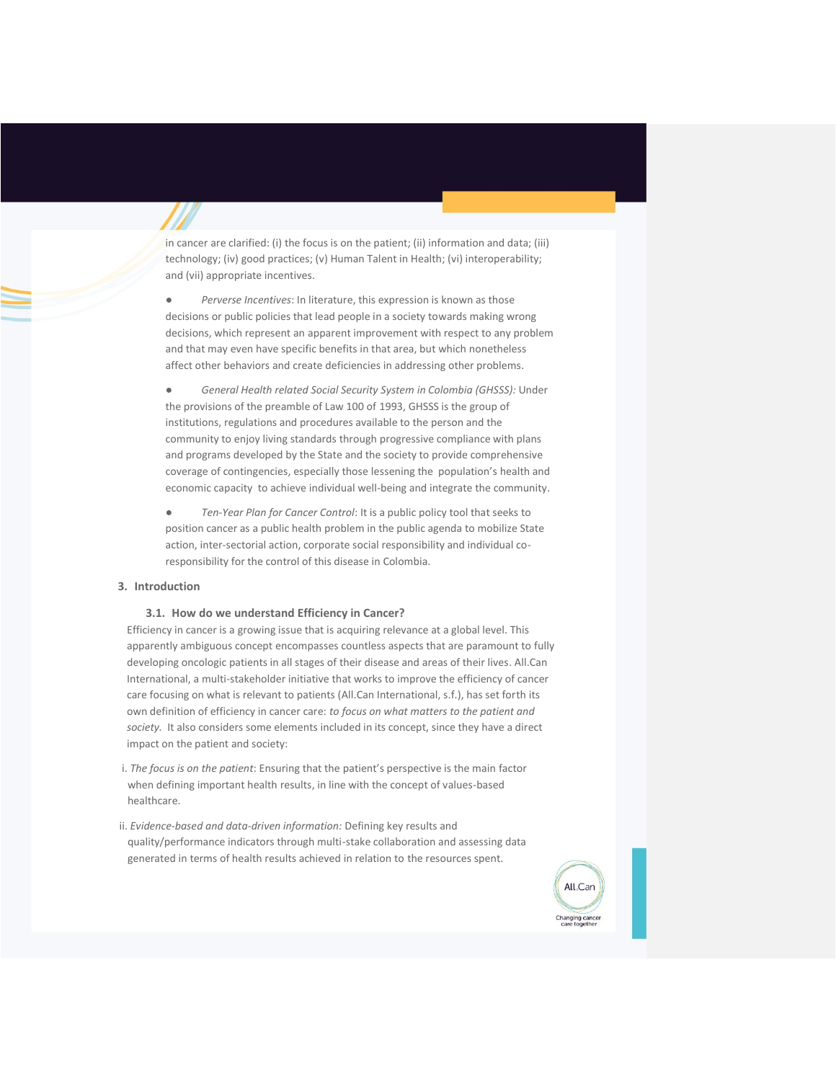in cancer are clarified: (i) the focus is on the patient; (ii) information and data; (iii) technology; (iv) good practices; (v) Human Talent in Health; (vi) interoperability; and (vii) appropriate incentives.

● *Perverse Incentives*: In literature, this expression is known as those decisions or public policies that lead people in a society towards making wrong decisions, which represent an apparent improvement with respect to any problem and that may even have specific benefits in that area, but which nonetheless affect other behaviors and create deficiencies in addressing other problems.

● *General Health related Social Security System in Colombia (GHSSS):* Under the provisions of the preamble of Law 100 of 1993, GHSSS is the group of institutions, regulations and procedures available to the person and the community to enjoy living standards through progressive compliance with plans and programs developed by the State and the society to provide comprehensive coverage of contingencies, especially those lessening the population's health and economic capacity to achieve individual well-being and integrate the community.

● *Ten-Year Plan for Cancer Control*: It is a public policy tool that seeks to position cancer as a public health problem in the public agenda to mobilize State action, inter-sectorial action, corporate social responsibility and individual coresponsibility for the control of this disease in Colombia.

#### **3. Introduction**

# **3.1. How do we understand Efficiency in Cancer?**

Efficiency in cancer is a growing issue that is acquiring relevance at a global level. This apparently ambiguous concept encompasses countless aspects that are paramount to fully developing oncologic patients in all stages of their disease and areas of their lives. All.Can International, a multi-stakeholder initiative that works to improve the efficiency of cancer care focusing on what is relevant to patients (All.Can International, s.f.), has set forth its own definition of efficiency in cancer care: *to focus on what matters to the patient and society.* It also considers some elements included in its concept, since they have a direct impact on the patient and society:

i. *The focus is on the patient*: Ensuring that the patient's perspective is the main factor when defining important health results, in line with the concept of values-based healthcare.

ii. *Evidence-based and data-driven information:* Defining key results and quality/performance indicators through multi-stake collaboration and assessing data generated in terms of health results achieved in relation to the resources spent.

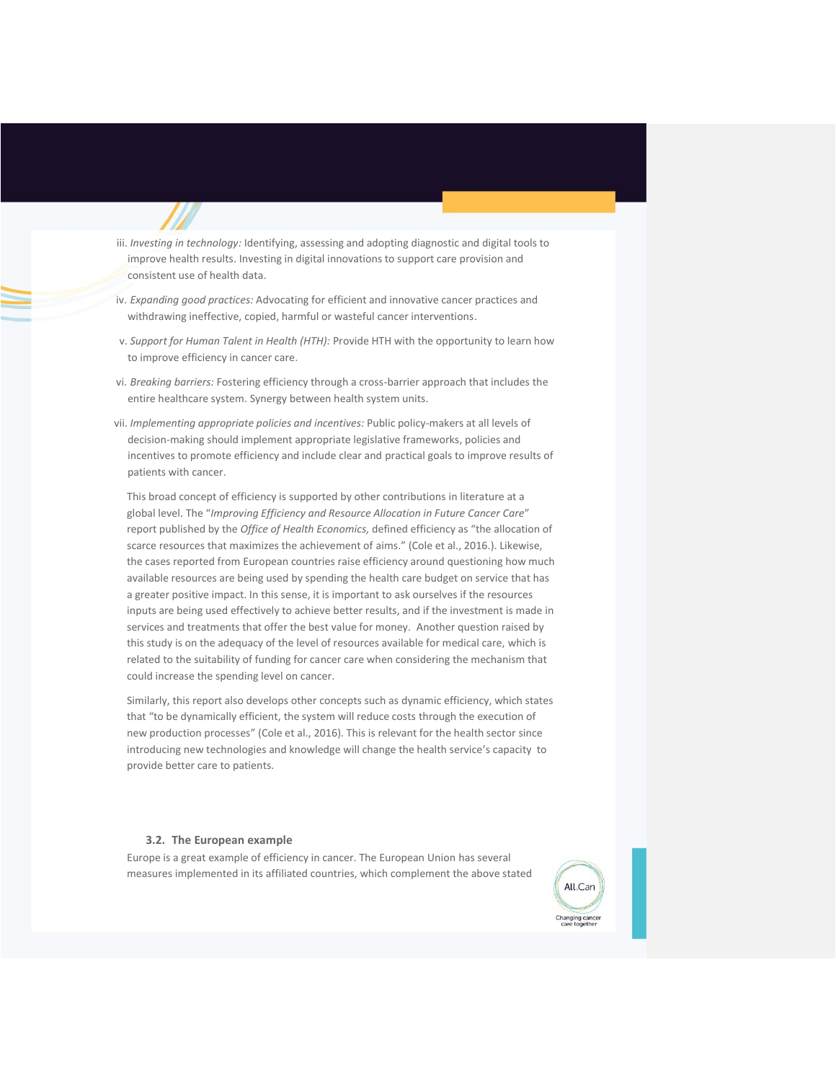- iii. *Investing in technology:* Identifying, assessing and adopting diagnostic and digital tools to improve health results. Investing in digital innovations to support care provision and consistent use of health data.
- iv. *Expanding good practices:* Advocating for efficient and innovative cancer practices and withdrawing ineffective, copied, harmful or wasteful cancer interventions.
- v. *Support for Human Talent in Health (HTH):* Provide HTH with the opportunity to learn how to improve efficiency in cancer care.
- vi. *Breaking barriers:* Fostering efficiency through a cross-barrier approach that includes the entire healthcare system. Synergy between health system units.
- vii. *Implementing appropriate policies and incentives:* Public policy-makers at all levels of decision-making should implement appropriate legislative frameworks, policies and incentives to promote efficiency and include clear and practical goals to improve results of patients with cancer.

This broad concept of efficiency is supported by other contributions in literature at a global level. The "*Improving Efficiency and Resource Allocation in Future Cancer Care*" report published by the *Office of Health Economics,* defined efficiency as "the allocation of scarce resources that maximizes the achievement of aims." (Cole et al., 2016.). Likewise, the cases reported from European countries raise efficiency around questioning how much available resources are being used by spending the health care budget on service that has a greater positive impact. In this sense, it is important to ask ourselves if the resources inputs are being used effectively to achieve better results, and if the investment is made in services and treatments that offer the best value for money. Another question raised by this study is on the adequacy of the level of resources available for medical care, which is related to the suitability of funding for cancer care when considering the mechanism that could increase the spending level on cancer.

Similarly, this report also develops other concepts such as dynamic efficiency, which states that "to be dynamically efficient, the system will reduce costs through the execution of new production processes" (Cole et al., 2016). This is relevant for the health sector since introducing new technologies and knowledge will change the health service's capacity to provide better care to patients.

#### **3.2. The European example**

Europe is a great example of efficiency in cancer. The European Union has several measures implemented in its affiliated countries, which complement the above stated

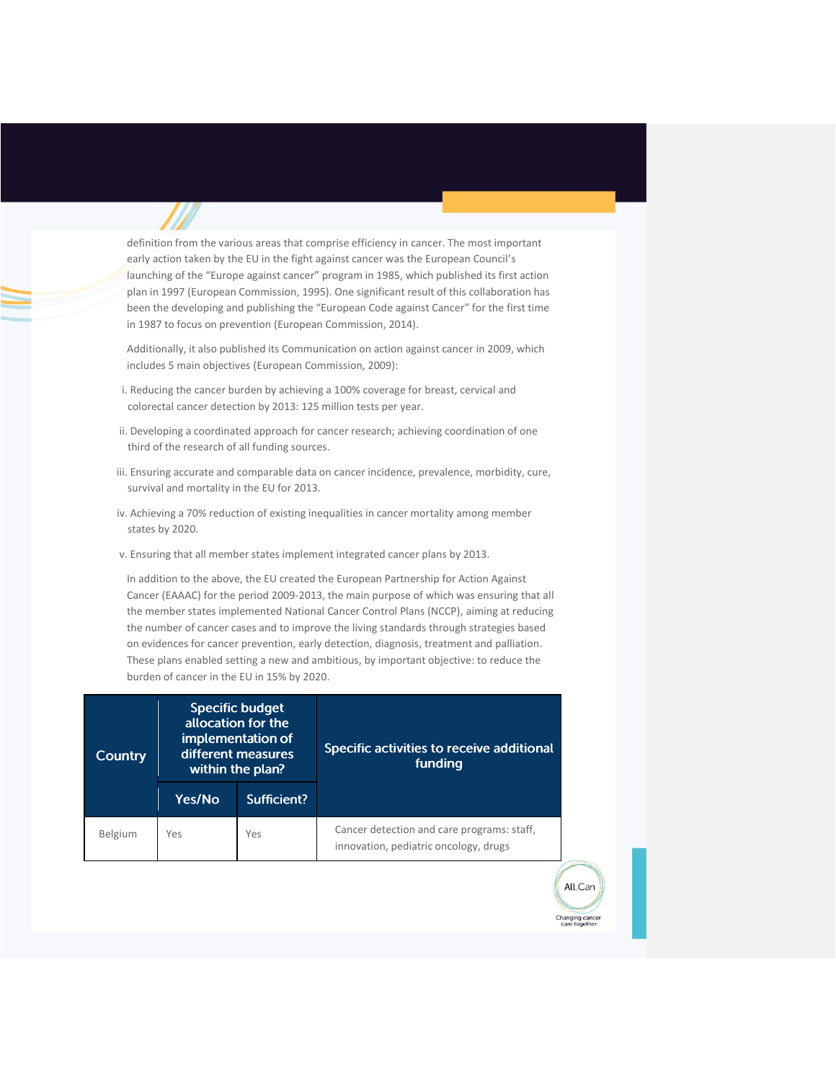definition from the various areas that comprise efficiency in cancer. The most important early action taken by the EU in the fight against cancer was the European Council's launching of the "Europe against cancer" program in 1985, which published its first action plan in 1997 (European Commission, 1995). One significant result of this collaboration has been the developing and publishing the "European Code against Cancer" for the first time in 1987 to focus on prevention (European Commission, 2014).

Additionally, it also published its Communication on action against cancer in 2009, which includes 5 main objectives (European Commission, 2009):

- i. Reducing the cancer burden by achieving a 100% coverage for breast, cervical and colorectal cancer detection by 2013: 125 million tests per year.
- ii. Developing a coordinated approach for cancer research; achieving coordination of one third of the research of all funding sources.
- iii. Ensuring accurate and comparable data on cancer incidence, prevalence, morbidity, cure, survival and mortality in the EU for 2013.
- iv. Achieving a 70% reduction of existing inequalities in cancer mortality among member states by 2020.
- v. Ensuring that all member states implement integrated cancer plans by 2013.

In addition to the above, the EU created the European Partnership for Action Against Cancer (EAAAC) for the period 2009-2013, the main purpose of which was ensuring that all the member states implemented National Cancer Control Plans (NCCP), aiming at reducing the number of cancer cases and to improve the living standards through strategies based on evidences for cancer prevention, early detection, diagnosis, treatment and palliation. These plans enabled setting a new and ambitious, by important objective: to reduce the burden of cancer in the EU in 15% by 2020.

| <b>Country</b> | <b>Specific budget</b><br>allocation for the<br>implementation of<br>different measures<br>within the plan? |             | Specific activities to receive additional<br>funding                                |
|----------------|-------------------------------------------------------------------------------------------------------------|-------------|-------------------------------------------------------------------------------------|
|                | Yes/No                                                                                                      | Sufficient? |                                                                                     |
| Belgium        | Yes                                                                                                         | Yes         | Cancer detection and care programs: staff,<br>innovation, pediatric oncology, drugs |

All.Can

nanging canc<br>care togethe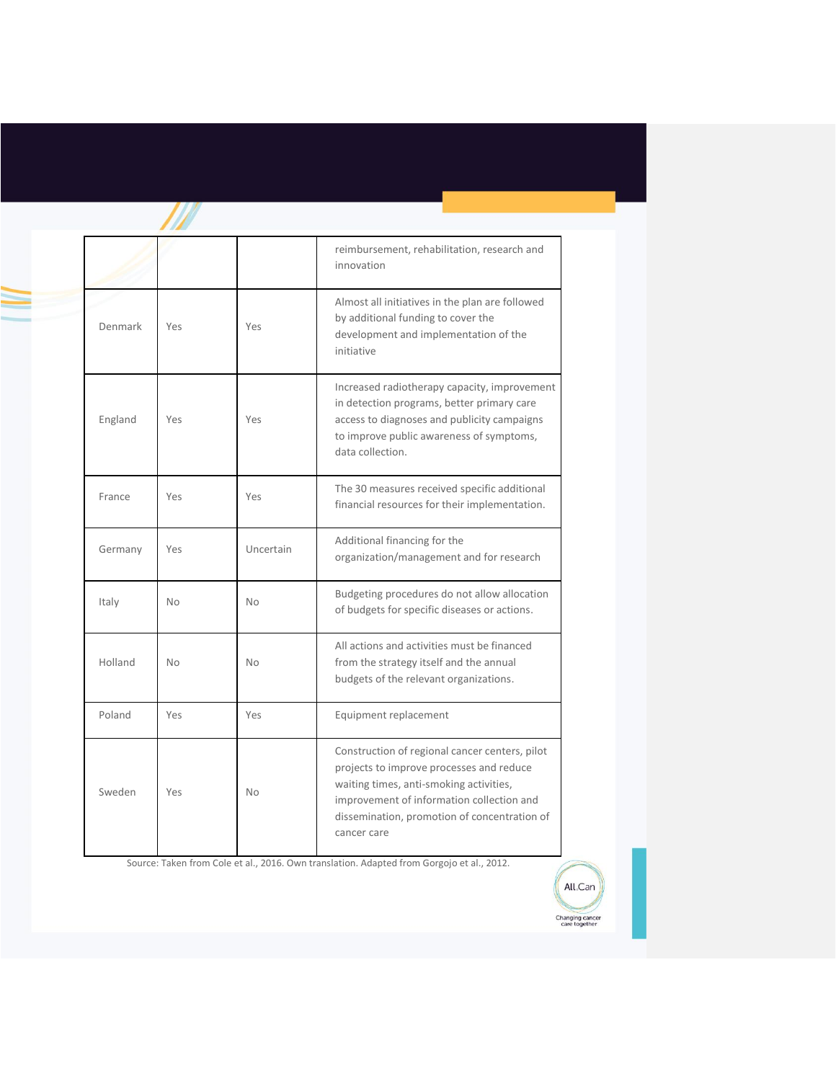|         |           |           | reimbursement, rehabilitation, research and<br>innovation                                                                                                                                                                                         |
|---------|-----------|-----------|---------------------------------------------------------------------------------------------------------------------------------------------------------------------------------------------------------------------------------------------------|
| Denmark | Yes       | Yes       | Almost all initiatives in the plan are followed<br>by additional funding to cover the<br>development and implementation of the<br>initiative                                                                                                      |
| England | Yes       | Yes       | Increased radiotherapy capacity, improvement<br>in detection programs, better primary care<br>access to diagnoses and publicity campaigns<br>to improve public awareness of symptoms,<br>data collection.                                         |
| France  | Yes       | Yes       | The 30 measures received specific additional<br>financial resources for their implementation.                                                                                                                                                     |
| Germany | Yes       | Uncertain | Additional financing for the<br>organization/management and for research                                                                                                                                                                          |
| Italy   | <b>No</b> | <b>No</b> | Budgeting procedures do not allow allocation<br>of budgets for specific diseases or actions.                                                                                                                                                      |
| Holland | <b>No</b> | No        | All actions and activities must be financed<br>from the strategy itself and the annual<br>budgets of the relevant organizations.                                                                                                                  |
| Poland  | Yes       | Yes       | Equipment replacement                                                                                                                                                                                                                             |
| Sweden  | Yes       | <b>No</b> | Construction of regional cancer centers, pilot<br>projects to improve processes and reduce<br>waiting times, anti-smoking activities,<br>improvement of information collection and<br>dissemination, promotion of concentration of<br>cancer care |

 $\mathbb{Z}$ 

Source: Taken from Cole et al., 2016. Own translation. Adapted from Gorgojo et al., 2012.

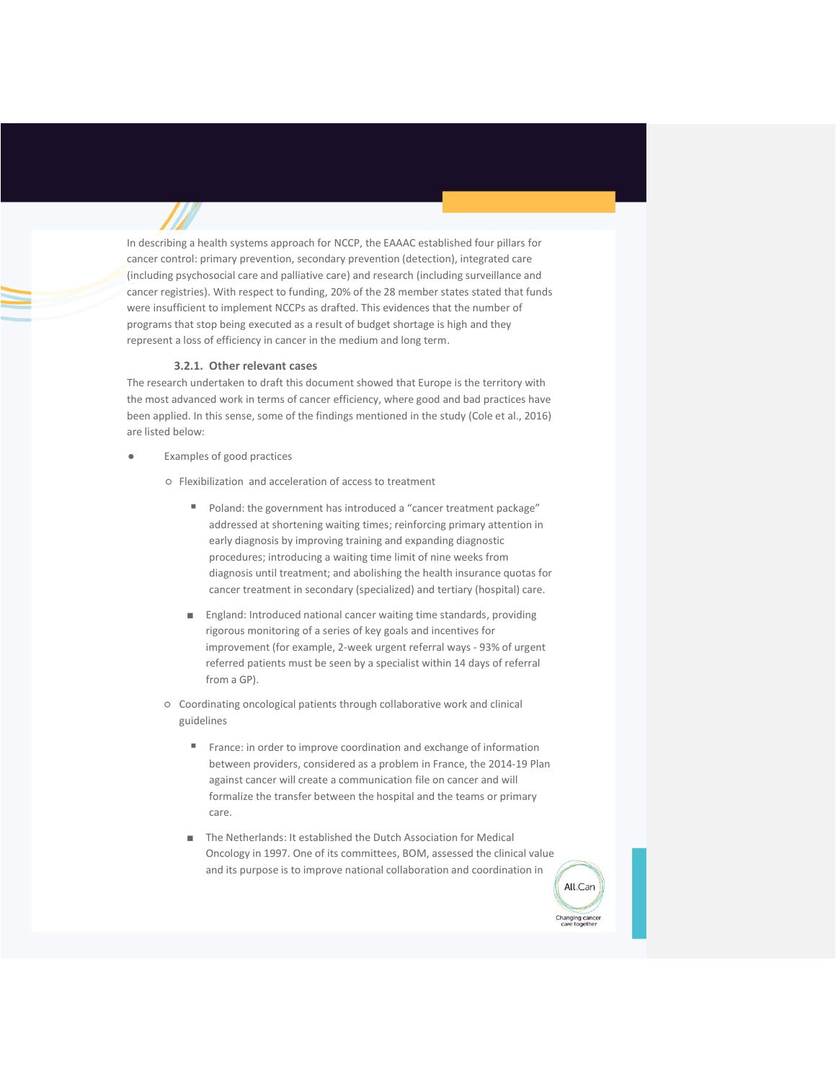In describing a health systems approach for NCCP, the EAAAC established four pillars for cancer control: primary prevention, secondary prevention (detection), integrated care (including psychosocial care and palliative care) and research (including surveillance and cancer registries). With respect to funding, 20% of the 28 member states stated that funds were insufficient to implement NCCPs as drafted. This evidences that the number of programs that stop being executed as a result of budget shortage is high and they represent a loss of efficiency in cancer in the medium and long term.

#### **3.2.1. Other relevant cases**

The research undertaken to draft this document showed that Europe is the territory with the most advanced work in terms of cancer efficiency, where good and bad practices have been applied. In this sense, some of the findings mentioned in the study (Cole et al., 2016) are listed below:

**Examples of good practices** 

○ Flexibilization and acceleration of access to treatment

- Poland: the government has introduced a "cancer treatment package" addressed at shortening waiting times; reinforcing primary attention in early diagnosis by improving training and expanding diagnostic procedures; introducing a waiting time limit of nine weeks from diagnosis until treatment; and abolishing the health insurance quotas for cancer treatment in secondary (specialized) and tertiary (hospital) care.
- England: Introduced national cancer waiting time standards, providing rigorous monitoring of a series of key goals and incentives for improvement (for example, 2-week urgent referral ways - 93% of urgent referred patients must be seen by a specialist within 14 days of referral from a GP).
- Coordinating oncological patients through collaborative work and clinical guidelines
	- France: in order to improve coordination and exchange of information between providers, considered as a problem in France, the 2014-19 Plan against cancer will create a communication file on cancer and will formalize the transfer between the hospital and the teams or primary care.
	- The Netherlands: It established the Dutch Association for Medical Oncology in 1997. One of its committees, BOM, assessed the clinical value and its purpose is to improve national collaboration and coordination in

All Can

Changing cance<br>care together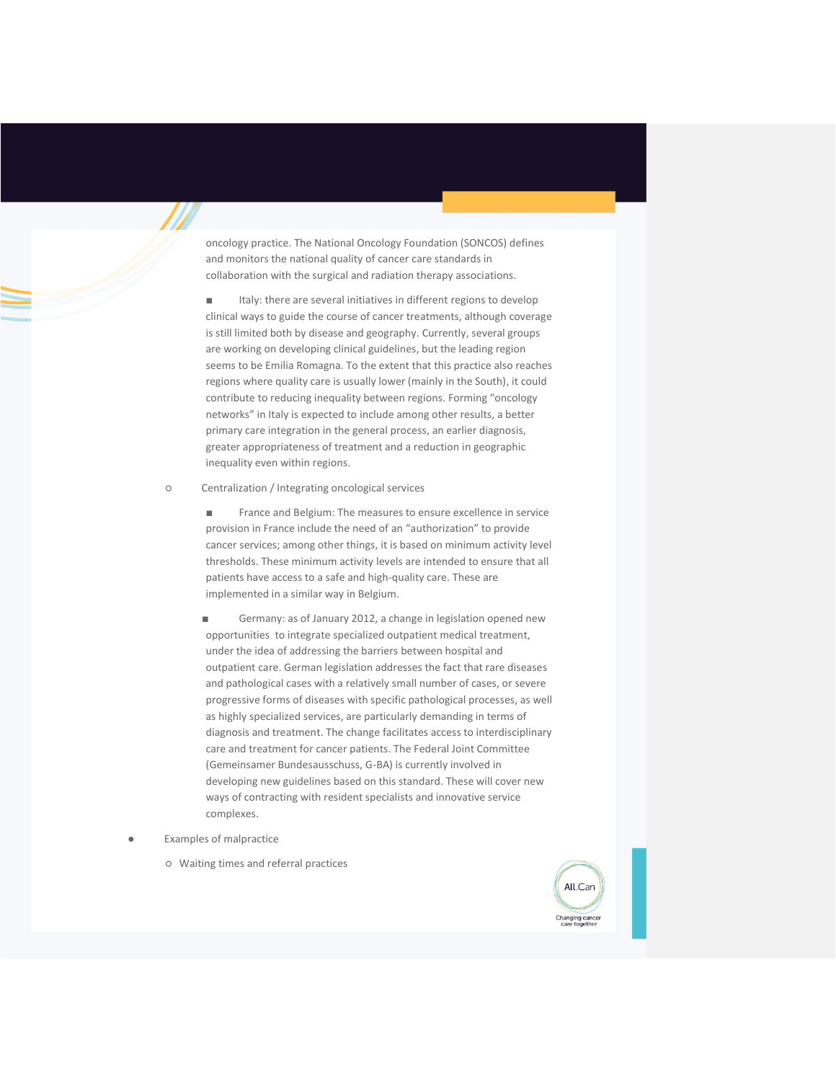oncology practice. The National Oncology Foundation (SONCOS) defines and monitors the national quality of cancer care standards in collaboration with the surgical and radiation therapy associations.

■ Italy: there are several initiatives in different regions to develop clinical ways to guide the course of cancer treatments, although coverage is still limited both by disease and geography. Currently, several groups are working on developing clinical guidelines, but the leading region seems to be Emilia Romagna. To the extent that this practice also reaches regions where quality care is usually lower (mainly in the South), it could contribute to reducing inequality between regions. Forming "oncology networks" in Italy is expected to include among other results, a better primary care integration in the general process, an earlier diagnosis, greater appropriateness of treatment and a reduction in geographic inequality even within regions.

○ Centralization / Integrating oncological services

■ France and Belgium: The measures to ensure excellence in service provision in France include the need of an "authorization" to provide cancer services; among other things, it is based on minimum activity level thresholds. These minimum activity levels are intended to ensure that all patients have access to a safe and high-quality care. These are implemented in a similar way in Belgium.

Germany: as of January 2012, a change in legislation opened new opportunities to integrate specialized outpatient medical treatment, under the idea of addressing the barriers between hospital and outpatient care. German legislation addresses the fact that rare diseases and pathological cases with a relatively small number of cases, or severe progressive forms of diseases with specific pathological processes, as well as highly specialized services, are particularly demanding in terms of diagnosis and treatment. The change facilitates access to interdisciplinary care and treatment for cancer patients. The Federal Joint Committee (Gemeinsamer Bundesausschuss, G-BA) is currently involved in developing new guidelines based on this standard. These will cover new ways of contracting with resident specialists and innovative service complexes.

- **Examples of malpractice** 
	- Waiting times and referral practices

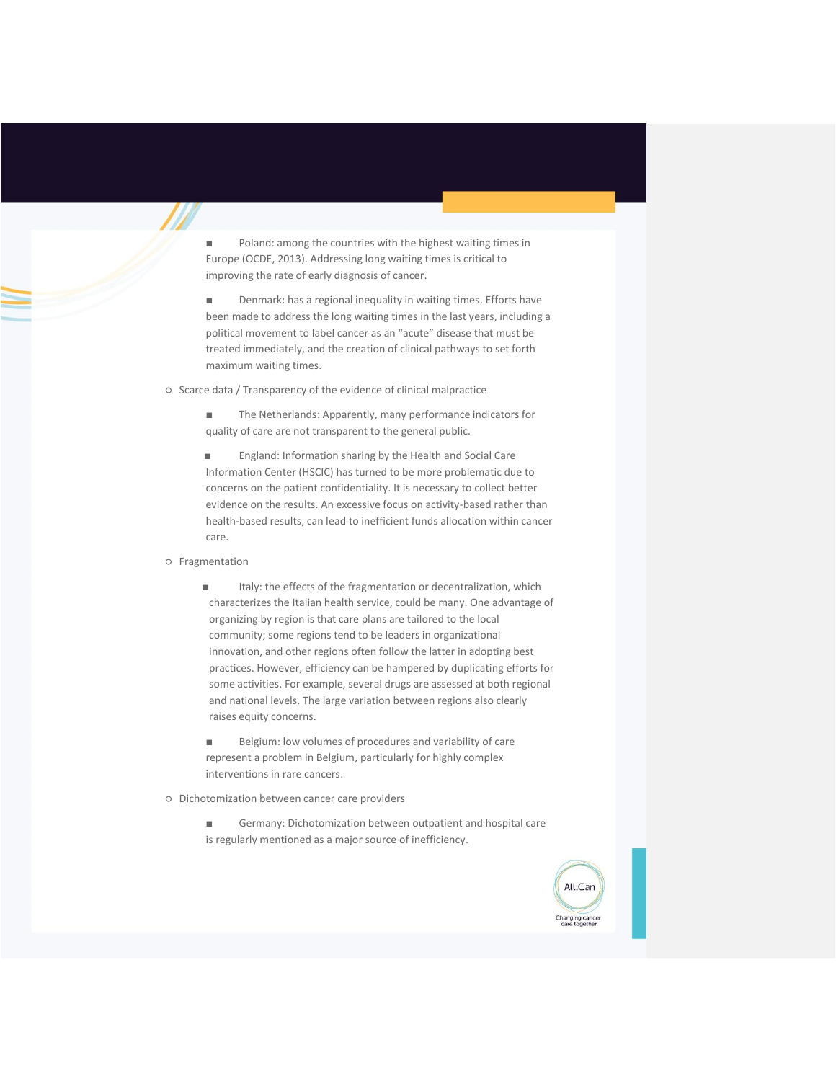Poland: among the countries with the highest waiting times in Europe (OCDE, 2013). Addressing long waiting times is critical to improving the rate of early diagnosis of cancer.

■ Denmark: has a regional inequality in waiting times. Efforts have been made to address the long waiting times in the last years, including a political movement to label cancer as an "acute" disease that must be treated immediately, and the creation of clinical pathways to set forth maximum waiting times.

○ Scarce data / Transparency of the evidence of clinical malpractice

■ The Netherlands: Apparently, many performance indicators for quality of care are not transparent to the general public.

■ England: Information sharing by the Health and Social Care Information Center (HSCIC) has turned to be more problematic due to concerns on the patient confidentiality. It is necessary to collect better evidence on the results. An excessive focus on activity-based rather than health-based results, can lead to inefficient funds allocation within cancer care.

# ○ Fragmentation

■ Italy: the effects of the fragmentation or decentralization, which characterizes the Italian health service, could be many. One advantage of organizing by region is that care plans are tailored to the local community; some regions tend to be leaders in organizational innovation, and other regions often follow the latter in adopting best practices. However, efficiency can be hampered by duplicating efforts for some activities. For example, several drugs are assessed at both regional and national levels. The large variation between regions also clearly raises equity concerns.

■ Belgium: low volumes of procedures and variability of care represent a problem in Belgium, particularly for highly complex interventions in rare cancers.

○ Dichotomization between cancer care providers

■ Germany: Dichotomization between outpatient and hospital care is regularly mentioned as a major source of inefficiency.

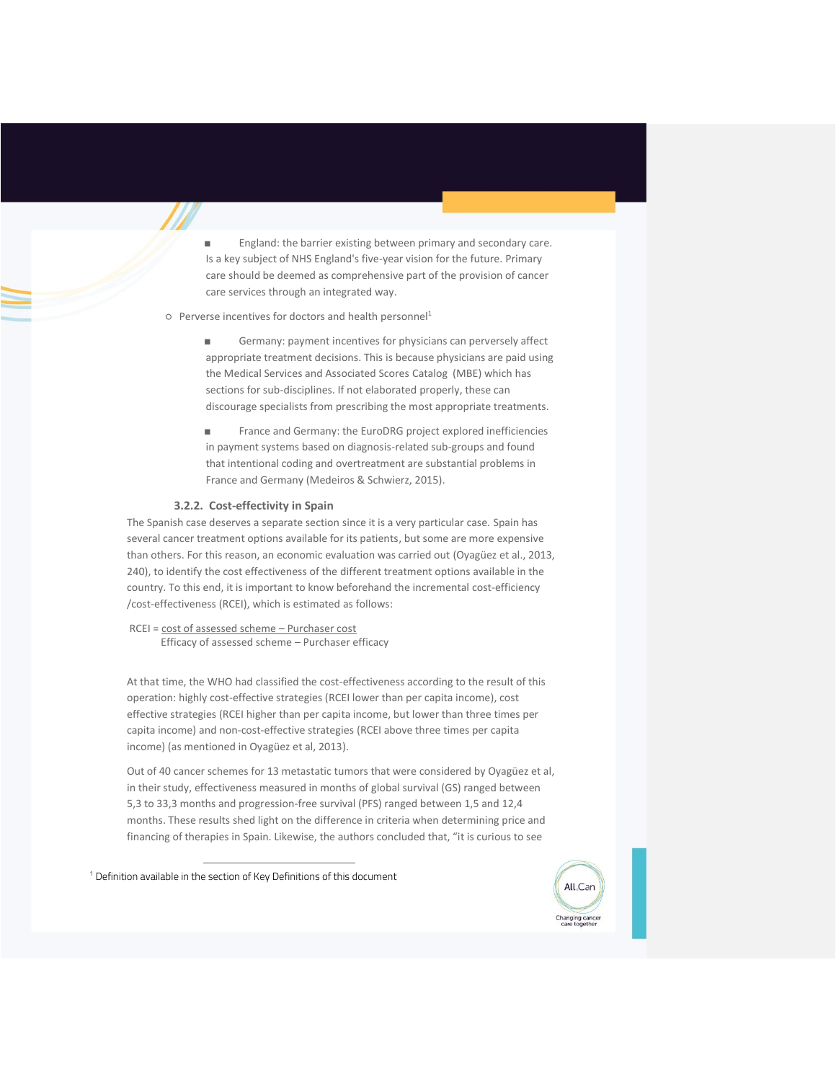England: the barrier existing between primary and secondary care. Is a key subject of NHS England's five-year vision for the future. Primary care should be deemed as comprehensive part of the provision of cancer care services through an integrated way.

#### ○ Perverse incentives for doctors and health personnel<sup>1</sup>

Germany: payment incentives for physicians can perversely affect appropriate treatment decisions. This is because physicians are paid using the Medical Services and Associated Scores Catalog (MBE) which has sections for sub-disciplines. If not elaborated properly, these can discourage specialists from prescribing the most appropriate treatments.

France and Germany: the EuroDRG project explored inefficiencies in payment systems based on diagnosis-related sub-groups and found that intentional coding and overtreatment are substantial problems in France and Germany (Medeiros & Schwierz, 2015).

# **3.2.2. Cost-effectivity in Spain**

The Spanish case deserves a separate section since it is a very particular case. Spain has several cancer treatment options available for its patients, but some are more expensive than others. For this reason, an economic evaluation was carried out (Oyagüez et al., 2013, 240), to identify the cost effectiveness of the different treatment options available in the country. To this end, it is important to know beforehand the incremental cost-efficiency /cost-effectiveness (RCEI), which is estimated as follows:

RCEI = cost of assessed scheme – Purchaser cost Efficacy of assessed scheme – Purchaser efficacy

At that time, the WHO had classified the cost-effectiveness according to the result of this operation: highly cost-effective strategies (RCEI lower than per capita income), cost effective strategies (RCEI higher than per capita income, but lower than three times per capita income) and non-cost-effective strategies (RCEI above three times per capita income) (as mentioned in Oyagüez et al, 2013).

Out of 40 cancer schemes for 13 metastatic tumors that were considered by Oyagüez et al, in their study, effectiveness measured in months of global survival (GS) ranged between 5,3 to 33,3 months and progression-free survival (PFS) ranged between 1,5 and 12,4 months. These results shed light on the difference in criteria when determining price and financing of therapies in Spain. Likewise, the authors concluded that, "it is curious to see

<sup>1</sup> Definition available in the section of Key Definitions of this document

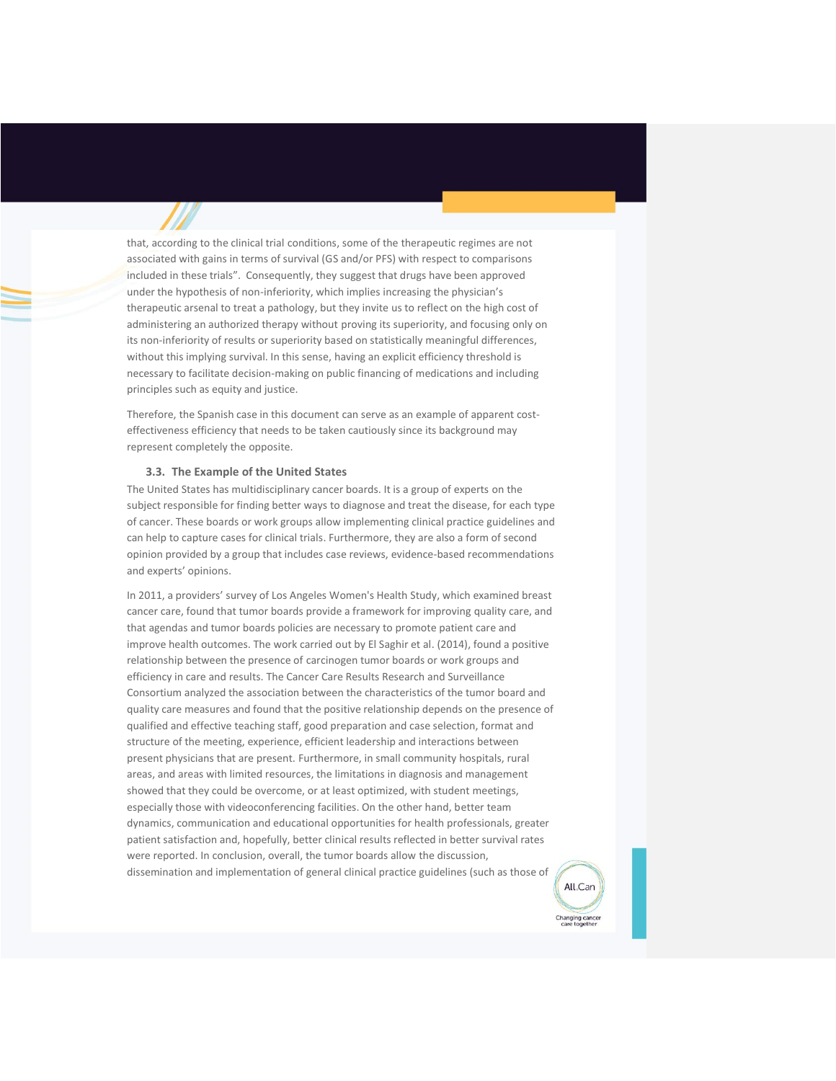that, according to the clinical trial conditions, some of the therapeutic regimes are not associated with gains in terms of survival (GS and/or PFS) with respect to comparisons included in these trials". Consequently, they suggest that drugs have been approved under the hypothesis of non-inferiority, which implies increasing the physician's therapeutic arsenal to treat a pathology, but they invite us to reflect on the high cost of administering an authorized therapy without proving its superiority, and focusing only on its non-inferiority of results or superiority based on statistically meaningful differences, without this implying survival. In this sense, having an explicit efficiency threshold is necessary to facilitate decision-making on public financing of medications and including principles such as equity and justice.

Therefore, the Spanish case in this document can serve as an example of apparent costeffectiveness efficiency that needs to be taken cautiously since its background may represent completely the opposite.

#### **3.3. The Example of the United States**

The United States has multidisciplinary cancer boards. It is a group of experts on the subject responsible for finding better ways to diagnose and treat the disease, for each type of cancer. These boards or work groups allow implementing clinical practice guidelines and can help to capture cases for clinical trials. Furthermore, they are also a form of second opinion provided by a group that includes case reviews, evidence-based recommendations and experts' opinions.

In 2011, a providers' survey of Los Angeles Women's Health Study, which examined breast cancer care, found that tumor boards provide a framework for improving quality care, and that agendas and tumor boards policies are necessary to promote patient care and improve health outcomes. The work carried out by El Saghir et al. (2014), found a positive relationship between the presence of carcinogen tumor boards or work groups and efficiency in care and results. The Cancer Care Results Research and Surveillance Consortium analyzed the association between the characteristics of the tumor board and quality care measures and found that the positive relationship depends on the presence of qualified and effective teaching staff, good preparation and case selection, format and structure of the meeting, experience, efficient leadership and interactions between present physicians that are present. Furthermore, in small community hospitals, rural areas, and areas with limited resources, the limitations in diagnosis and management showed that they could be overcome, or at least optimized, with student meetings, especially those with videoconferencing facilities. On the other hand, better team dynamics, communication and educational opportunities for health professionals, greater patient satisfaction and, hopefully, better clinical results reflected in better survival rates were reported. In conclusion, overall, the tumor boards allow the discussion, dissemination and implementation of general clinical practice guidelines (such as those of

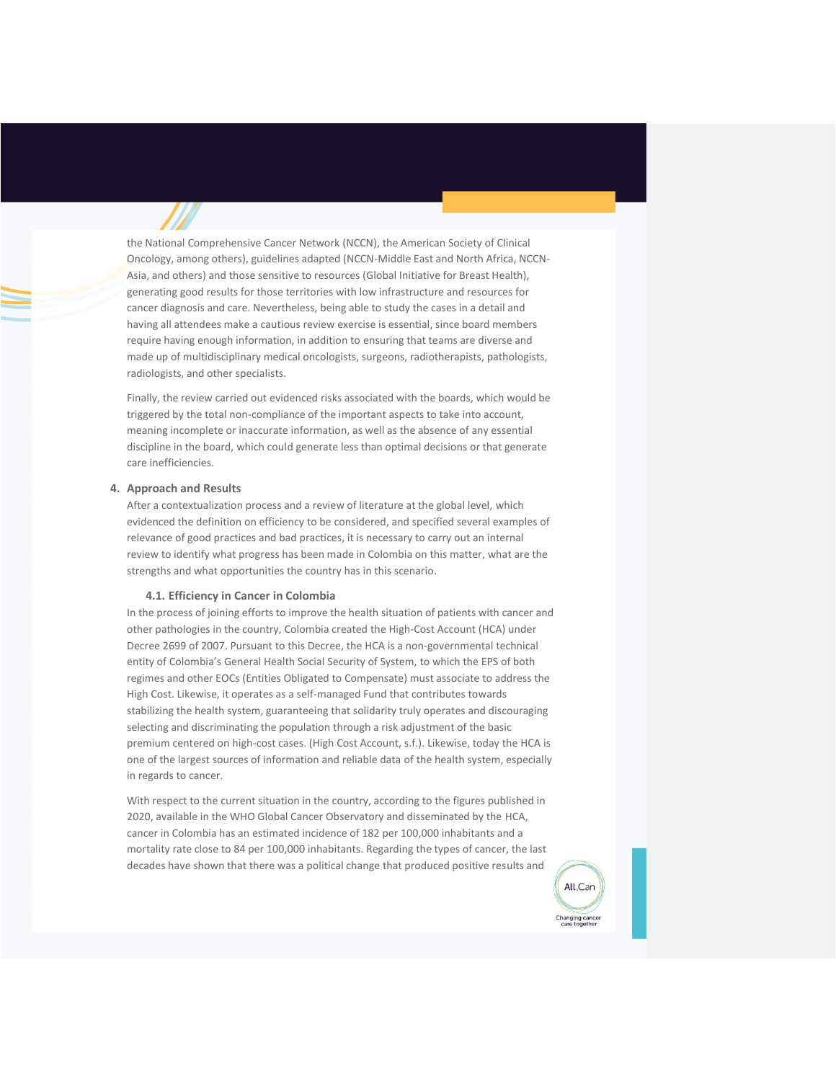the National Comprehensive Cancer Network (NCCN), the American Society of Clinical Oncology, among others), guidelines adapted (NCCN-Middle East and North Africa, NCCN-Asia, and others) and those sensitive to resources (Global Initiative for Breast Health), generating good results for those territories with low infrastructure and resources for cancer diagnosis and care. Nevertheless, being able to study the cases in a detail and having all attendees make a cautious review exercise is essential, since board members require having enough information, in addition to ensuring that teams are diverse and made up of multidisciplinary medical oncologists, surgeons, radiotherapists, pathologists, radiologists, and other specialists.

Finally, the review carried out evidenced risks associated with the boards, which would be triggered by the total non-compliance of the important aspects to take into account, meaning incomplete or inaccurate information, as well as the absence of any essential discipline in the board, which could generate less than optimal decisions or that generate care inefficiencies.

# **4. Approach and Results**

After a contextualization process and a review of literature at the global level, which evidenced the definition on efficiency to be considered, and specified several examples of relevance of good practices and bad practices, it is necessary to carry out an internal review to identify what progress has been made in Colombia on this matter, what are the strengths and what opportunities the country has in this scenario.

#### **4.1. Efficiency in Cancer in Colombia**

In the process of joining efforts to improve the health situation of patients with cancer and other pathologies in the country, Colombia created the High-Cost Account (HCA) under Decree 2699 of 2007. Pursuant to this Decree, the HCA is a non-governmental technical entity of Colombia's General Health Social Security of System, to which the EPS of both regimes and other EOCs (Entities Obligated to Compensate) must associate to address the High Cost. Likewise, it operates as a self-managed Fund that contributes towards stabilizing the health system, guaranteeing that solidarity truly operates and discouraging selecting and discriminating the population through a risk adjustment of the basic premium centered on high-cost cases. (High Cost Account, s.f.). Likewise, today the HCA is one of the largest sources of information and reliable data of the health system, especially in regards to cancer.

With respect to the current situation in the country, according to the figures published in 2020, available in the WHO Global Cancer Observatory and disseminated by the HCA, cancer in Colombia has an estimated incidence of 182 per 100,000 inhabitants and a mortality rate close to 84 per 100,000 inhabitants. Regarding the types of cancer, the last decades have shown that there was a political change that produced positive results and

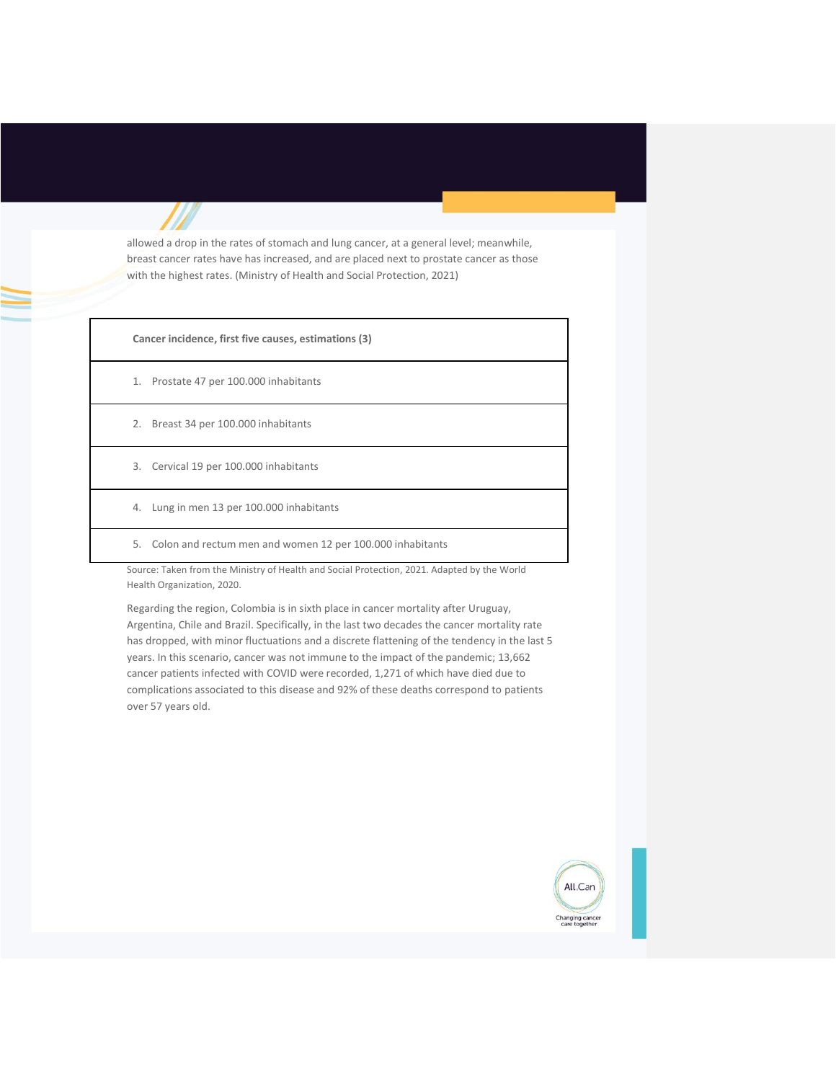allowed a drop in the rates of stomach and lung cancer, at a general level; meanwhile, breast cancer rates have has increased, and are placed next to prostate cancer as those with the highest rates. (Ministry of Health and Social Protection, 2021)

**Cancer incidence, first five causes, estimations (3)**

- 1. Prostate 47 per 100.000 inhabitants
- 2. Breast 34 per 100.000 inhabitants
- 3. Cervical 19 per 100.000 inhabitants
- 4. Lung in men 13 per 100.000 inhabitants
- 5. Colon and rectum men and women 12 per 100.000 inhabitants

Source: Taken from the Ministry of Health and Social Protection, 2021. Adapted by the World Health Organization, 2020.

Regarding the region, Colombia is in sixth place in cancer mortality after Uruguay, Argentina, Chile and Brazil. Specifically, in the last two decades the cancer mortality rate has dropped, with minor fluctuations and a discrete flattening of the tendency in the last 5 years. In this scenario, cancer was not immune to the impact of the pandemic; 13,662 cancer patients infected with COVID were recorded, 1,271 of which have died due to complications associated to this disease and 92% of these deaths correspond to patients over 57 years old.

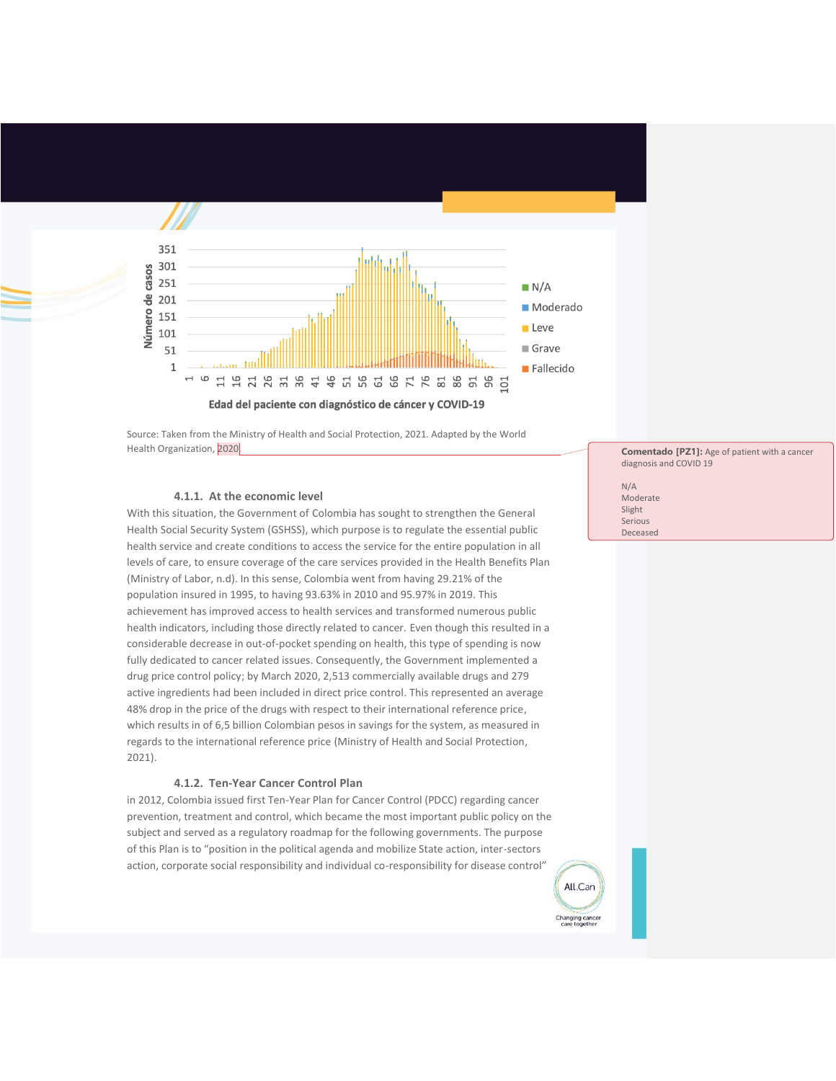

Source: Taken from the Ministry of Health and Social Protection, 2021. Adapted by the World Health Organization, 2020.

#### **4.1.1. At the economic level**

With this situation, the Government of Colombia has sought to strengthen the General Health Social Security System (GSHSS), which purpose is to regulate the essential public health service and create conditions to access the service for the entire population in all levels of care, to ensure coverage of the care services provided in the Health Benefits Plan (Ministry of Labor, n.d). In this sense, Colombia went from having 29.21% of the population insured in 1995, to having 93.63% in 2010 and 95.97% in 2019. This achievement has improved access to health services and transformed numerous public health indicators, including those directly related to cancer. Even though this resulted in a considerable decrease in out-of-pocket spending on health, this type of spending is now fully dedicated to cancer related issues. Consequently, the Government implemented a drug price control policy; by March 2020, 2,513 commercially available drugs and 279 active ingredients had been included in direct price control. This represented an average 48% drop in the price of the drugs with respect to their international reference price, which results in of 6,5 billion Colombian pesos in savings for the system, as measured in regards to the international reference price (Ministry of Health and Social Protection, 2021).

# **4.1.2. Ten-Year Cancer Control Plan**

in 2012, Colombia issued first Ten-Year Plan for Cancer Control (PDCC) regarding cancer prevention, treatment and control, which became the most important public policy on the subject and served as a regulatory roadmap for the following governments. The purpose of this Plan is to "position in the political agenda and mobilize State action, inter-sectors action, corporate social responsibility and individual co-responsibility for disease control"

**Comentado [PZ1]:** Age of patient with a cancer diagnosis and COVID 19

N/A Moderate Slight Serious Deceased

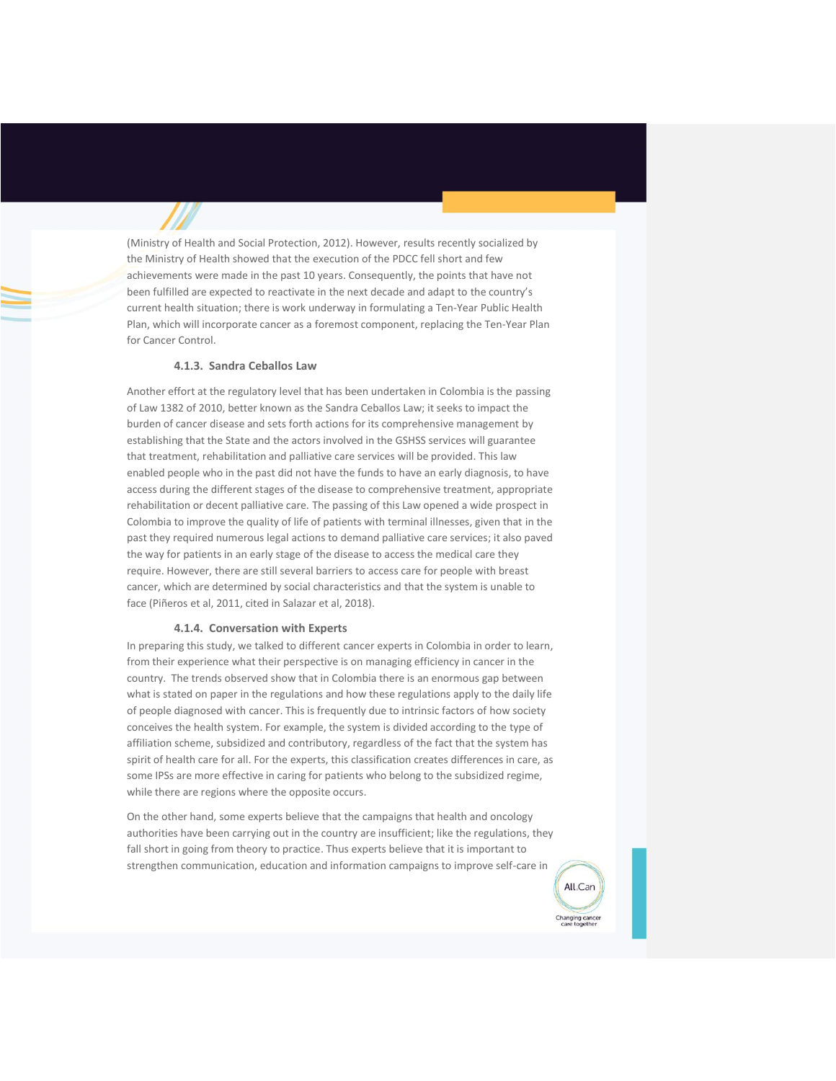(Ministry of Health and Social Protection, 2012). However, results recently socialized by the Ministry of Health showed that the execution of the PDCC fell short and few achievements were made in the past 10 years. Consequently, the points that have not been fulfilled are expected to reactivate in the next decade and adapt to the country's current health situation; there is work underway in formulating a Ten-Year Public Health Plan, which will incorporate cancer as a foremost component, replacing the Ten-Year Plan for Cancer Control.

#### **4.1.3. Sandra Ceballos Law**

Another effort at the regulatory level that has been undertaken in Colombia is the passing of Law 1382 of 2010, better known as the Sandra Ceballos Law; it seeks to impact the burden of cancer disease and sets forth actions for its comprehensive management by establishing that the State and the actors involved in the GSHSS services will guarantee that treatment, rehabilitation and palliative care services will be provided. This law enabled people who in the past did not have the funds to have an early diagnosis, to have access during the different stages of the disease to comprehensive treatment, appropriate rehabilitation or decent palliative care. The passing of this Law opened a wide prospect in Colombia to improve the quality of life of patients with terminal illnesses, given that in the past they required numerous legal actions to demand palliative care services; it also paved the way for patients in an early stage of the disease to access the medical care they require. However, there are still several barriers to access care for people with breast cancer, which are determined by social characteristics and that the system is unable to face (Piñeros et al, 2011, cited in Salazar et al, 2018).

# **4.1.4. Conversation with Experts**

In preparing this study, we talked to different cancer experts in Colombia in order to learn, from their experience what their perspective is on managing efficiency in cancer in the country. The trends observed show that in Colombia there is an enormous gap between what is stated on paper in the regulations and how these regulations apply to the daily life of people diagnosed with cancer. This is frequently due to intrinsic factors of how society conceives the health system. For example, the system is divided according to the type of affiliation scheme, subsidized and contributory, regardless of the fact that the system has spirit of health care for all. For the experts, this classification creates differences in care, as some IPSs are more effective in caring for patients who belong to the subsidized regime, while there are regions where the opposite occurs.

On the other hand, some experts believe that the campaigns that health and oncology authorities have been carrying out in the country are insufficient; like the regulations, they fall short in going from theory to practice. Thus experts believe that it is important to strengthen communication, education and information campaigns to improve self-care in

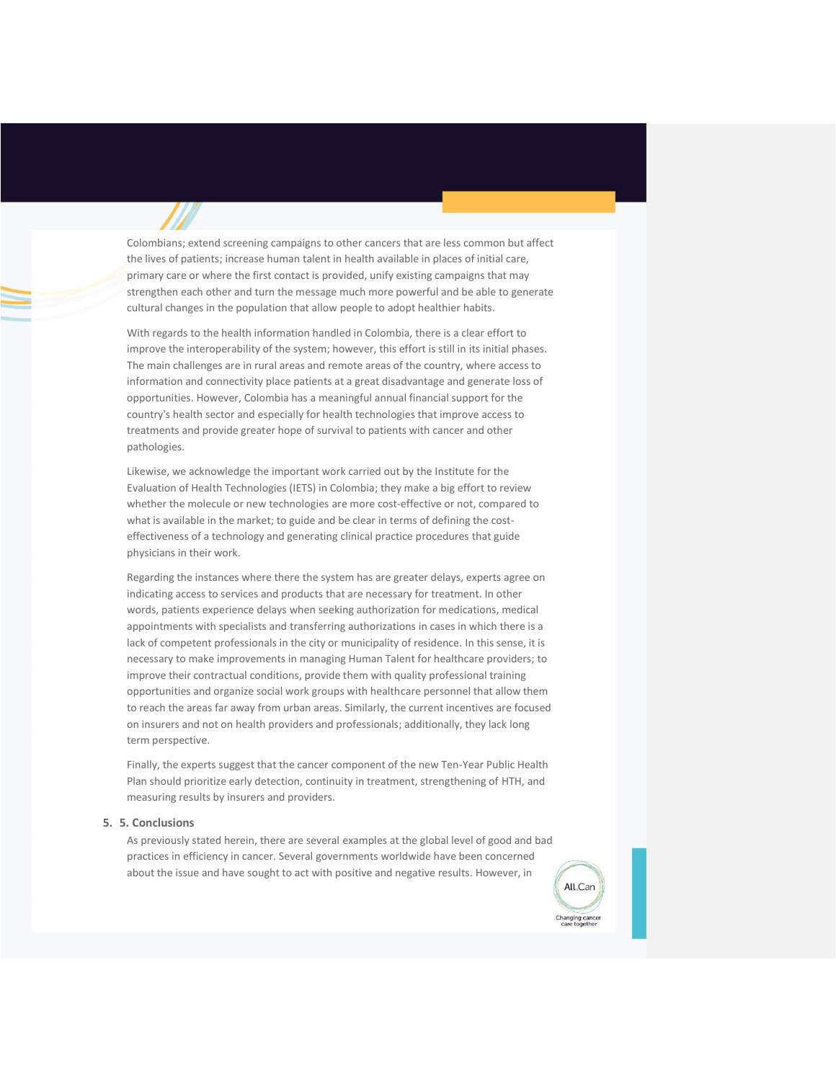Colombians; extend screening campaigns to other cancers that are less common but affect the lives of patients; increase human talent in health available in places of initial care, primary care or where the first contact is provided, unify existing campaigns that may strengthen each other and turn the message much more powerful and be able to generate cultural changes in the population that allow people to adopt healthier habits.

With regards to the health information handled in Colombia, there is a clear effort to improve the interoperability of the system; however, this effort is still in its initial phases. The main challenges are in rural areas and remote areas of the country, where access to information and connectivity place patients at a great disadvantage and generate loss of opportunities. However, Colombia has a meaningful annual financial support for the country's health sector and especially for health technologies that improve access to treatments and provide greater hope of survival to patients with cancer and other pathologies.

Likewise, we acknowledge the important work carried out by the Institute for the Evaluation of Health Technologies (IETS) in Colombia; they make a big effort to review whether the molecule or new technologies are more cost-effective or not, compared to what is available in the market; to guide and be clear in terms of defining the costeffectiveness of a technology and generating clinical practice procedures that guide physicians in their work.

Regarding the instances where there the system has are greater delays, experts agree on indicating access to services and products that are necessary for treatment. In other words, patients experience delays when seeking authorization for medications, medical appointments with specialists and transferring authorizations in cases in which there is a lack of competent professionals in the city or municipality of residence. In this sense, it is necessary to make improvements in managing Human Talent for healthcare providers; to improve their contractual conditions, provide them with quality professional training opportunities and organize social work groups with healthcare personnel that allow them to reach the areas far away from urban areas. Similarly, the current incentives are focused on insurers and not on health providers and professionals; additionally, they lack long term perspective.

Finally, the experts suggest that the cancer component of the new Ten-Year Public Health Plan should prioritize early detection, continuity in treatment, strengthening of HTH, and measuring results by insurers and providers.

#### **5. 5. Conclusions**

As previously stated herein, there are several examples at the global level of good and bad practices in efficiency in cancer. Several governments worldwide have been concerned about the issue and have sought to act with positive and negative results. However, in

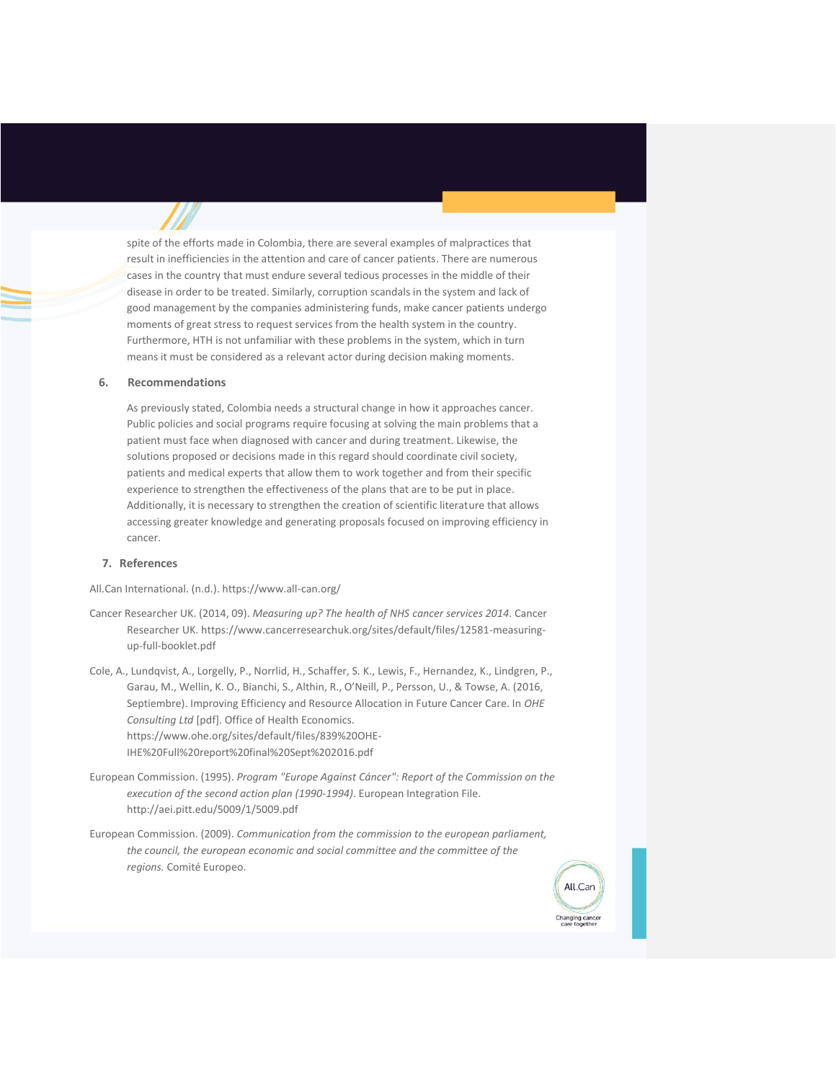spite of the efforts made in Colombia, there are several examples of malpractices that result in inefficiencies in the attention and care of cancer patients. There are numerous cases in the country that must endure several tedious processes in the middle of their disease in order to be treated. Similarly, corruption scandals in the system and lack of good management by the companies administering funds, make cancer patients undergo moments of great stress to request services from the health system in the country. Furthermore, HTH is not unfamiliar with these problems in the system, which in turn means it must be considered as a relevant actor during decision making moments.

## **6. Recommendations**

As previously stated, Colombia needs a structural change in how it approaches cancer. Public policies and social programs require focusing at solving the main problems that a patient must face when diagnosed with cancer and during treatment. Likewise, the solutions proposed or decisions made in this regard should coordinate civil society, patients and medical experts that allow them to work together and from their specific experience to strengthen the effectiveness of the plans that are to be put in place. Additionally, it is necessary to strengthen the creation of scientific literature that allows accessing greater knowledge and generating proposals focused on improving efficiency in cancer.

# **7. References**

All.Can International. (n.d.). https://www.all-can.org/

- Cancer Researcher UK. (2014, 09). *Measuring up? The health of NHS cancer services 2014*. Cancer Researcher UK. https://www.cancerresearchuk.org/sites/default/files/12581-measuringup-full-booklet.pdf
- Cole, A., Lundqvist, A., Lorgelly, P., Norrlid, H., Schaffer, S. K., Lewis, F., Hernandez, K., Lindgren, P., Garau, M., Wellin, K. O., Bianchi, S., Althin, R., O'Neill, P., Persson, U., & Towse, A. (2016, Septiembre). Improving Efficiency and Resource Allocation in Future Cancer Care. In *OHE Consulting Ltd* [pdf]. Office of Health Economics. https://www.ohe.org/sites/default/files/839%20OHE-IHE%20Full%20report%20final%20Sept%202016.pdf
- European Commission. (1995). *Program "Europe Against Cáncer": Report of the Commission on the execution of the second action plan (1990-1994)*. European Integration File. http://aei.pitt.edu/5009/1/5009.pdf
- European Commission. (2009). *Communication from the commission to the european parliament, the council, the european economic and social committee and the committee of the regions.* Comité Europeo.

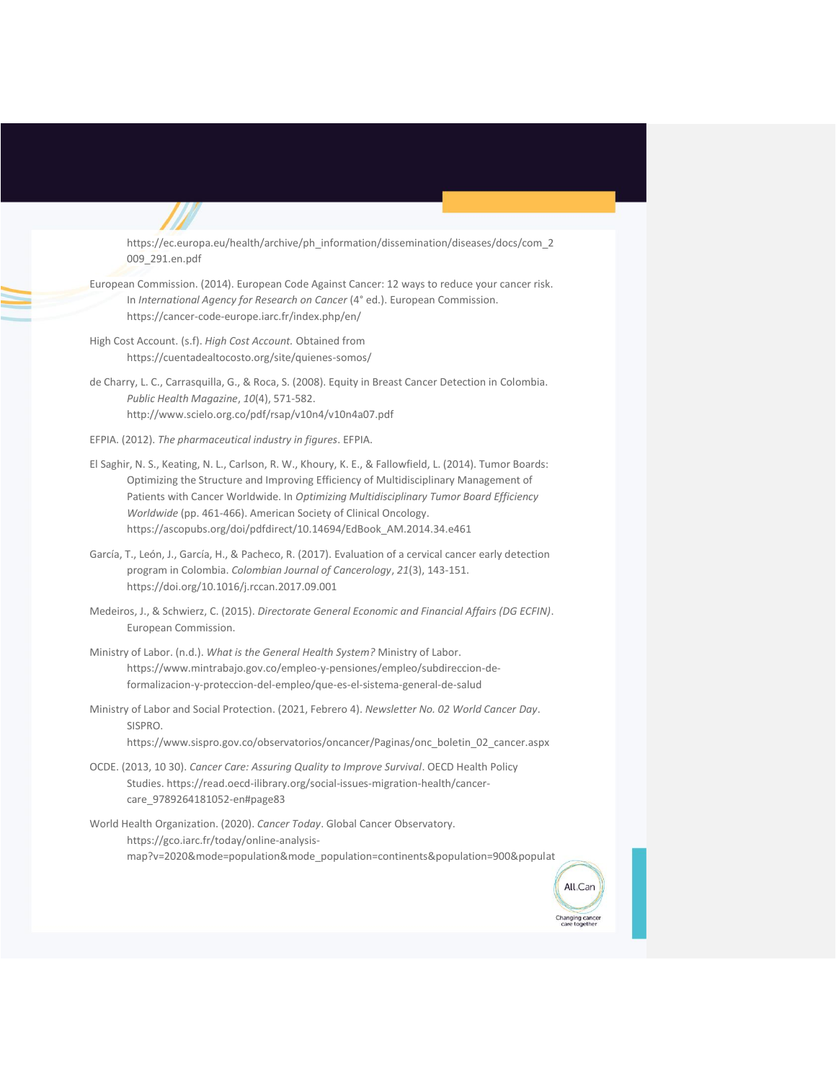https://ec.europa.eu/health/archive/ph\_information/dissemination/diseases/docs/com\_2 009\_291.en.pdf

- European Commission. (2014). European Code Against Cancer: 12 ways to reduce your cancer risk. In *International Agency for Research on Cancer* (4° ed.). European Commission. https://cancer-code-europe.iarc.fr/index.php/en/
- High Cost Account. (s.f). *High Cost Account.* Obtained from https://cuentadealtocosto.org/site/quienes-somos/
- de Charry, L. C., Carrasquilla, G., & Roca, S. (2008). Equity in Breast Cancer Detection in Colombia. *Public Health Magazine*, *10*(4), 571-582. http://www.scielo.org.co/pdf/rsap/v10n4/v10n4a07.pdf
- EFPIA. (2012). *The pharmaceutical industry in figures*. EFPIA.
- El Saghir, N. S., Keating, N. L., Carlson, R. W., Khoury, K. E., & Fallowfield, L. (2014). Tumor Boards: Optimizing the Structure and Improving Efficiency of Multidisciplinary Management of Patients with Cancer Worldwide. In *Optimizing Multidisciplinary Tumor Board Efficiency Worldwide* (pp. 461-466). American Society of Clinical Oncology. https://ascopubs.org/doi/pdfdirect/10.14694/EdBook\_AM.2014.34.e461
- García, T., León, J., García, H., & Pacheco, R. (2017). Evaluation of a cervical cancer early detection program in Colombia. *Colombian Journal of Cancerology*, *21*(3), 143-151. https://doi.org/10.1016/j.rccan.2017.09.001
- Medeiros, J., & Schwierz, C. (2015). *Directorate General Economic and Financial Affairs (DG ECFIN)*. European Commission.
- Ministry of Labor. (n.d.). *What is the General Health System?* Ministry of Labor. https://www.mintrabajo.gov.co/empleo-y-pensiones/empleo/subdireccion-deformalizacion-y-proteccion-del-empleo/que-es-el-sistema-general-de-salud
- Ministry of Labor and Social Protection. (2021, Febrero 4). *Newsletter No. 02 World Cancer Day*. SISPRO.

https://www.sispro.gov.co/observatorios/oncancer/Paginas/onc\_boletin\_02\_cancer.aspx

OCDE. (2013, 10 30). *Cancer Care: Assuring Quality to Improve Survival*. OECD Health Policy Studies. https://read.oecd-ilibrary.org/social-issues-migration-health/cancercare\_9789264181052-en#page83

World Health Organization. (2020). *Cancer Today*. Global Cancer Observatory. https://gco.iarc.fr/today/online-analysismap?v=2020&mode=population&mode\_population=continents&population=900&populat